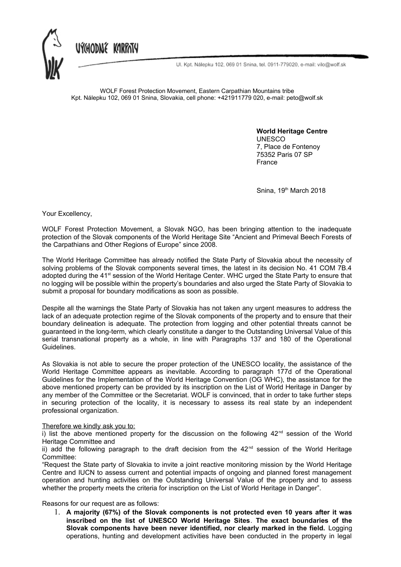UÝCHODNÉ KARPATY



Ul. Kpt. Nálepku 102, 069 01 Snina, tel. 0911-779020, e-mail: vilo@wolf.sk

WOLF Forest Protection Movement, Eastern Carpathian Mountains tribe Kpt. Nálepku 102, 069 01 Snina, Slovakia, cell phone: +421911779 020, e-mail: peto@wolf.sk

> **World Heritage Centre** UNESCO 7, Place de Fontenoy 75352 Paris 07 SP France

Snina, 19<sup>th</sup> March 2018

Your Excellency,

WOLF Forest Protection Movement, a Slovak NGO, has been bringing attention to the inadequate protection of the Slovak components of the World Heritage Site "Ancient and Primeval Beech Forests of the Carpathians and Other Regions of Europe" since 2008.

The World Heritage Committee has already notified the State Party of Slovakia about the necessity of solving problems of the Slovak components several times, the latest in its decision No. 41 COM 7B.4 adopted during the 41<sup>st</sup> session of the World Heritage Center. WHC urged the State Party to ensure that no logging will be possible within the property's boundaries and also urged the State Party of Slovakia to submit a proposal for boundary modifications as soon as possible.

Despite all the warnings the State Party of Slovakia has not taken any urgent measures to address the lack of an adequate protection regime of the Slovak components of the property and to ensure that their boundary delineation is adequate. The protection from logging and other potential threats cannot be guaranteed in the long-term, which clearly constitute a danger to the Outstanding Universal Value of this serial transnational property as a whole, in line with Paragraphs 137 and 180 of the Operational Guidelines.

As Slovakia is not able to secure the proper protection of the UNESCO locality, the assistance of the World Heritage Committee appears as inevitable. According to paragraph 177d of the Operational Guidelines for the Implementation of the World Heritage Convention (OG WHC), the assistance for the above mentioned property can be provided by its inscription on the List of World Heritage in Danger by any member of the Committee or the Secretariat. WOLF is convinced, that in order to take further steps in securing protection of the locality, it is necessary to assess its real state by an independent professional organization.

## Therefore we kindly ask you to:

i) list the above mentioned property for the discussion on the following  $42<sup>nd</sup>$  session of the World Heritage Committee and

ii) add the following paragraph to the draft decision from the  $42<sup>nd</sup>$  session of the World Heritage Committee:

"Request the State party of Slovakia to invite a joint reactive monitoring mission by the World Heritage Centre and IUCN to assess current and potential impacts of ongoing and planned forest management operation and hunting activities on the Outstanding Universal Value of the property and to assess whether the property meets the criteria for inscription on the List of World Heritage in Danger".

Reasons for our request are as follows:

1. **A majority (67%) of the Slovak components is not protected even 10 years after it was inscribed on the list of UNESCO World Heritage Sites**. **The exact boundaries of the Slovak components have been never identified, nor clearly marked in the field.** Logging operations, hunting and development activities have been conducted in the property in legal